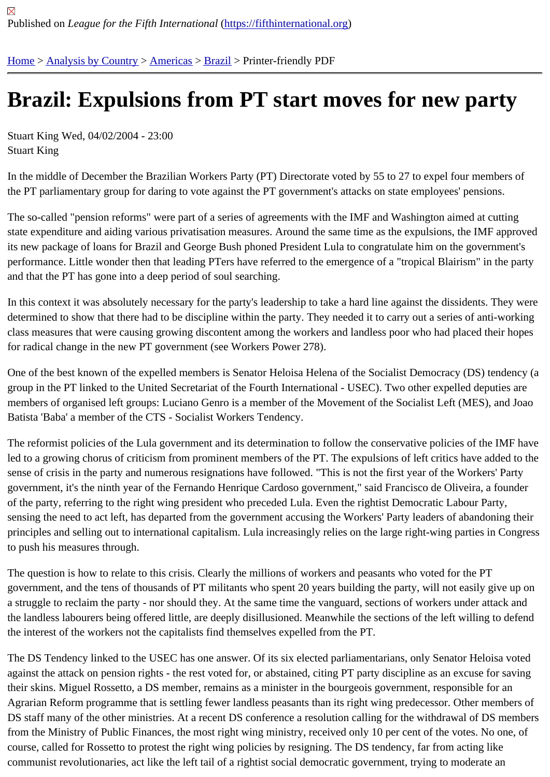## [Bra](https://fifthinternational.org/)[zil: Expuls](https://fifthinternational.org/category/1)i[ons f](https://fifthinternational.org/category/1/56)r[om](https://fifthinternational.org/category/1/56/62) PT start moves for new party

Stuart King Wed, 04/02/2004 - 23:00 Stuart King

In the middle of December the Brazilian Workers Party (PT) Directorate voted by 55 to 27 to expel four members o the PT parliamentary group for daring to vote against the PT government's attacks on state employees' pensions.

The so-called "pension reforms" were part of a series of agreements with the IMF and Washington aimed at cutting state expenditure and aiding various privatisation measures. Around the same time as the expulsions, the IMF app its new package of loans for Brazil and George Bush phoned President Lula to congratulate him on the governmen performance. Little wonder then that leading PTers have referred to the emergence of a "tropical Blairism" in the p and that the PT has gone into a deep period of soul searching.

In this context it was absolutely necessary for the party's leadership to take a hard line against the dissidents. The determined to show that there had to be discipline within the party. They needed it to carry out a series of anti-wor class measures that were causing growing discontent among the workers and landless poor who had placed their for radical change in the new PT government (see Workers Power 278).

One of the best known of the expelled members is Senator Heloisa Helena of the Socialist Democracy (DS) tende group in the PT linked to the United Secretariat of the Fourth International - USEC). Two other expelled deputies a members of organised left groups: Luciano Genro is a member of the Movement of the Socialist Left (MES), and J Batista 'Baba' a member of the CTS - Socialist Workers Tendency.

The reformist policies of the Lula government and its determination to follow the conservative policies of the IMF h led to a growing chorus of criticism from prominent members of the PT. The expulsions of left critics have added to sense of crisis in the party and numerous resignations have followed. "This is not the first year of the Workers' Par government, it's the ninth year of the Fernando Henrique Cardoso government," said Francisco de Oliveira, a foun of the party, referring to the right wing president who preceded Lula. Even the rightist Democratic Labour Party, sensing the need to act left, has departed from the government accusing the Workers' Party leaders of abandoning principles and selling out to international capitalism. Lula increasingly relies on the large right-wing parties in Cong to push his measures through.

The question is how to relate to this crisis. Clearly the millions of workers and peasants who voted for the PT government, and the tens of thousands of PT militants who spent 20 years building the party, will not easily give u a struggle to reclaim the party - nor should they. At the same time the vanguard, sections of workers under attack the landless labourers being offered little, are deeply disillusioned. Meanwhile the sections of the left willing to defe the interest of the workers not the capitalists find themselves expelled from the PT.

The DS Tendency linked to the USEC has one answer. Of its six elected parliamentarians, only Senator Heloisa v against the attack on pension rights - the rest voted for, or abstained, citing PT party discipline as an excuse for sa their skins. Miguel Rossetto, a DS member, remains as a minister in the bourgeois government, responsible for an Agrarian Reform programme that is settling fewer landless peasants than its right wing predecessor. Other membe DS staff many of the other ministries. At a recent DS conference a resolution calling for the withdrawal of DS mem from the Ministry of Public Finances, the most right wing ministry, received only 10 per cent of the votes. No one, o course, called for Rossetto to protest the right wing policies by resigning. The DS tendency, far from acting like communist revolutionaries, act like the left tail of a rightist social democratic government, trying to moderate an